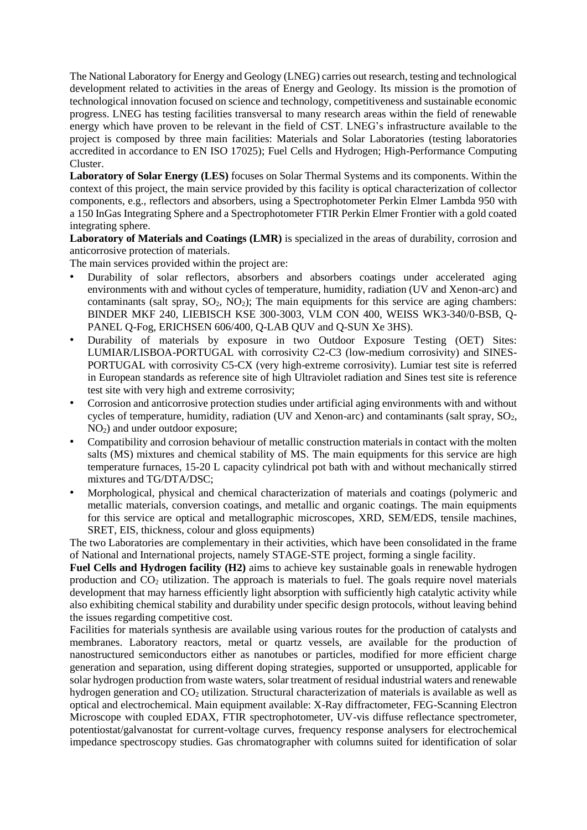The National Laboratory for Energy and Geology (LNEG) carries out research, testing and technological development related to activities in the areas of Energy and Geology. Its mission is the promotion of technological innovation focused on science and technology, competitiveness and sustainable economic progress. LNEG has testing facilities transversal to many research areas within the field of renewable energy which have proven to be relevant in the field of CST. LNEG's infrastructure available to the project is composed by three main facilities: Materials and Solar Laboratories (testing laboratories accredited in accordance to EN ISO 17025); Fuel Cells and Hydrogen; High-Performance Computing Cluster.

**Laboratory of Solar Energy (LES)** focuses on Solar Thermal Systems and its components. Within the context of this project, the main service provided by this facility is optical characterization of collector components, e.g., reflectors and absorbers, using a Spectrophotometer Perkin Elmer Lambda 950 with a 150 InGas Integrating Sphere and a Spectrophotometer FTIR Perkin Elmer Frontier with a gold coated integrating sphere.

**Laboratory of Materials and Coatings (LMR)** is specialized in the areas of durability, corrosion and anticorrosive protection of materials.

The main services provided within the project are:

- Durability of solar reflectors, absorbers and absorbers coatings under accelerated aging environments with and without cycles of temperature, humidity, radiation (UV and Xenon-arc) and contaminants (salt spray,  $SO_2$ ,  $NO_2$ ); The main equipments for this service are aging chambers: BINDER MKF 240, LIEBISCH KSE 300-3003, VLM CON 400, WEISS WK3-340/0-BSB, Q-PANEL Q-Fog, ERICHSEN 606/400, Q-LAB QUV and Q-SUN Xe 3HS).
- Durability of materials by exposure in two Outdoor Exposure Testing (OET) Sites: LUMIAR/LISBOA-PORTUGAL with corrosivity C2-C3 (low-medium corrosivity) and SINES-PORTUGAL with corrosivity C5-CX (very high-extreme corrosivity). Lumiar test site is referred in European standards as reference site of high Ultraviolet radiation and Sines test site is reference test site with very high and extreme corrosivity;
- Corrosion and anticorrosive protection studies under artificial aging environments with and without cycles of temperature, humidity, radiation (UV and Xenon-arc) and contaminants (salt spray,  $SO_2$ ,  $NO<sub>2</sub>$ ) and under outdoor exposure:
- Compatibility and corrosion behaviour of metallic construction materials in contact with the molten salts (MS) mixtures and chemical stability of MS. The main equipments for this service are high temperature furnaces, 15-20 L capacity cylindrical pot bath with and without mechanically stirred mixtures and TG/DTA/DSC;
- Morphological, physical and chemical characterization of materials and coatings (polymeric and metallic materials, conversion coatings, and metallic and organic coatings. The main equipments for this service are optical and metallographic microscopes, XRD, SEM/EDS, tensile machines, SRET, EIS, thickness, colour and gloss equipments)

The two Laboratories are complementary in their activities, which have been consolidated in the frame of National and International projects, namely STAGE-STE project, forming a single facility.

**Fuel Cells and Hydrogen facility (H2)** aims to achieve key sustainable goals in renewable hydrogen production and  $CO<sub>2</sub>$  utilization. The approach is materials to fuel. The goals require novel materials development that may harness efficiently light absorption with sufficiently high catalytic activity while also exhibiting chemical stability and durability under specific design protocols, without leaving behind the issues regarding competitive cost.

Facilities for materials synthesis are available using various routes for the production of catalysts and membranes. Laboratory reactors, metal or quartz vessels, are available for the production of nanostructured semiconductors either as nanotubes or particles, modified for more efficient charge generation and separation, using different doping strategies, supported or unsupported, applicable for solar hydrogen production from waste waters, solar treatment of residual industrial waters and renewable hydrogen generation and CO<sub>2</sub> utilization. Structural characterization of materials is available as well as optical and electrochemical. Main equipment available: X-Ray diffractometer, FEG-Scanning Electron Microscope with coupled EDAX, FTIR spectrophotometer, UV-vis diffuse reflectance spectrometer, potentiostat/galvanostat for current-voltage curves, frequency response analysers for electrochemical impedance spectroscopy studies. Gas chromatographer with columns suited for identification of solar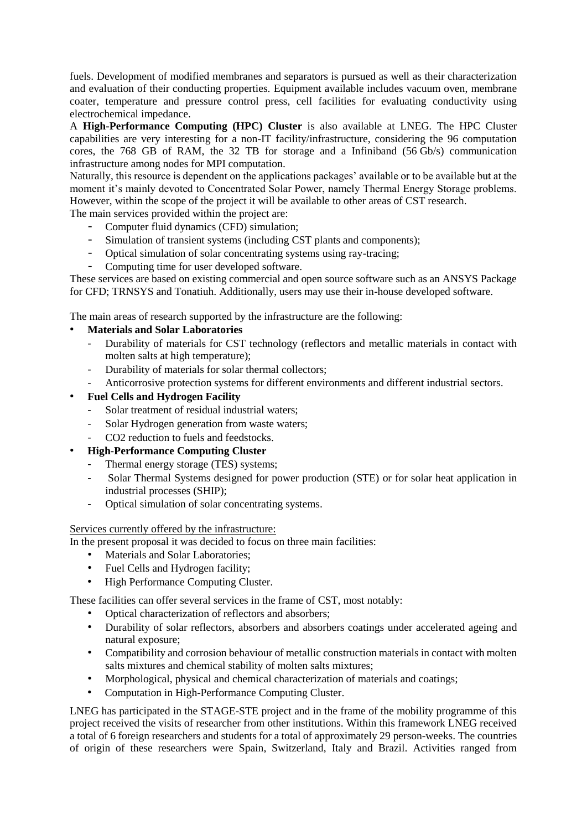fuels. Development of modified membranes and separators is pursued as well as their characterization and evaluation of their conducting properties. Equipment available includes vacuum oven, membrane coater, temperature and pressure control press, cell facilities for evaluating conductivity using electrochemical impedance.

A **High-Performance Computing (HPC) Cluster** is also available at LNEG. The HPC Cluster capabilities are very interesting for a non-IT facility/infrastructure, considering the 96 computation cores, the 768 GB of RAM, the 32 TB for storage and a Infiniband (56 Gb/s) communication infrastructure among nodes for MPI computation.

Naturally, this resource is dependent on the applications packages' available or to be available but at the moment it's mainly devoted to Concentrated Solar Power, namely Thermal Energy Storage problems. However, within the scope of the project it will be available to other areas of CST research.

The main services provided within the project are:

- Computer fluid dynamics (CFD) simulation;
- Simulation of transient systems (including CST plants and components);
- Optical simulation of solar concentrating systems using ray-tracing;
- Computing time for user developed software.

These services are based on existing commercial and open source software such as an ANSYS Package for CFD; TRNSYS and Tonatiuh. Additionally, users may use their in-house developed software.

The main areas of research supported by the infrastructure are the following:

## • **Materials and Solar Laboratories**

- Durability of materials for CST technology (reflectors and metallic materials in contact with molten salts at high temperature);
- Durability of materials for solar thermal collectors;
- Anticorrosive protection systems for different environments and different industrial sectors.

## • **Fuel Cells and Hydrogen Facility**

- Solar treatment of residual industrial waters;
- Solar Hydrogen generation from waste waters;
- CO<sub>2</sub> reduction to fuels and feedstocks.
- **High-Performance Computing Cluster**
	- Thermal energy storage (TES) systems;
	- Solar Thermal Systems designed for power production (STE) or for solar heat application in industrial processes (SHIP);
	- Optical simulation of solar concentrating systems.

## Services currently offered by the infrastructure:

In the present proposal it was decided to focus on three main facilities:

- Materials and Solar Laboratories;
- Fuel Cells and Hydrogen facility;
- High Performance Computing Cluster.

These facilities can offer several services in the frame of CST, most notably:

- Optical characterization of reflectors and absorbers;
- Durability of solar reflectors, absorbers and absorbers coatings under accelerated ageing and natural exposure;
- Compatibility and corrosion behaviour of metallic construction materials in contact with molten salts mixtures and chemical stability of molten salts mixtures;
- Morphological, physical and chemical characterization of materials and coatings;
- Computation in High-Performance Computing Cluster.

LNEG has participated in the STAGE-STE project and in the frame of the mobility programme of this project received the visits of researcher from other institutions. Within this framework LNEG received a total of 6 foreign researchers and students for a total of approximately 29 person-weeks. The countries of origin of these researchers were Spain, Switzerland, Italy and Brazil. Activities ranged from